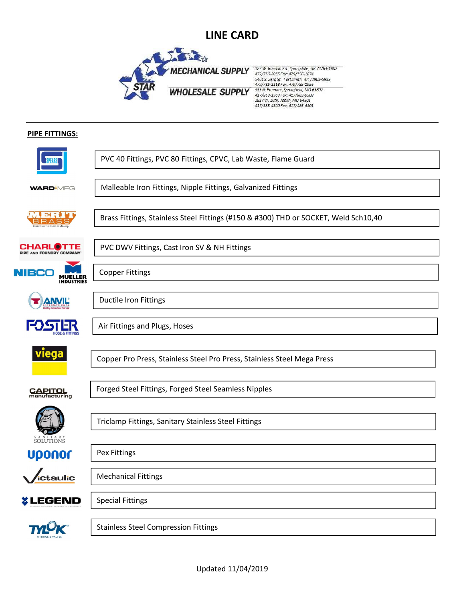

### **PIPE FITTINGS:**

|                                              | PVC 40 Fittings, PVC 80 Fittings, CPVC, Lab Waste, Flame Guard                      |
|----------------------------------------------|-------------------------------------------------------------------------------------|
| <b>WARD</b> MFG                              | Malleable Iron Fittings, Nipple Fittings, Galvanized Fittings                       |
|                                              |                                                                                     |
| ы                                            | Brass Fittings, Stainless Steel Fittings (#150 & #300) THD or SOCKET, Weld Sch10,40 |
|                                              |                                                                                     |
| <b>CHARLOTTE</b><br>PIPE AND FOUNDRY COMPANY | PVC DWV Fittings, Cast Iron SV & NH Fittings                                        |
|                                              | <b>Copper Fittings</b>                                                              |
|                                              |                                                                                     |
|                                              |                                                                                     |
| <b>ANVIL</b>                                 | <b>Ductile Iron Fittings</b>                                                        |
|                                              |                                                                                     |
|                                              | Air Fittings and Plugs, Hoses                                                       |
|                                              |                                                                                     |
| viega                                        |                                                                                     |
|                                              | Copper Pro Press, Stainless Steel Pro Press, Stainless Steel Mega Press             |
|                                              |                                                                                     |
| <b>CAPITOL</b><br>manufacturing              | Forged Steel Fittings, Forged Steel Seamless Nipples                                |
|                                              |                                                                                     |
|                                              |                                                                                     |
|                                              | Triclamp Fittings, Sanitary Stainless Steel Fittings                                |
| SOLUTIONS                                    |                                                                                     |
| <b>Uponor</b>                                | Pex Fittings                                                                        |
|                                              |                                                                                     |
| ictaulic                                     | <b>Mechanical Fittings</b>                                                          |
|                                              |                                                                                     |
| <b><i>&amp;</i></b> LEGEND                   | <b>Special Fittings</b>                                                             |
|                                              |                                                                                     |
|                                              | <b>Stainless Steel Compression Fittings</b>                                         |
|                                              |                                                                                     |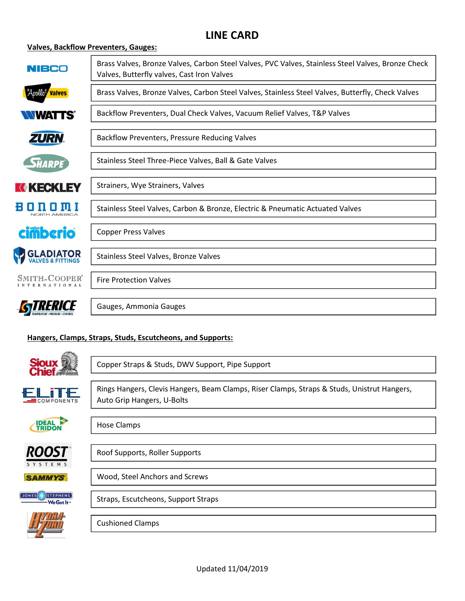### Valves, Backflow Preventers, Gauges:

| NIBCO                                 | Brass Valves, Bronze Valves, Carbon Steel Valves, PVC Valves, Stainless Steel Valves, Bronze Check<br>Valves, Butterfly valves, Cast Iron Valves |
|---------------------------------------|--------------------------------------------------------------------------------------------------------------------------------------------------|
| ``Apollo* <u></u><br><b>Valves</b>    | Brass Valves, Bronze Valves, Carbon Steel Valves, Stainless Steel Valves, Butterfly, Check Valves                                                |
| <b>WATTS®</b>                         | Backflow Preventers, Dual Check Valves, Vacuum Relief Valves, T&P Valves                                                                         |
| ZURN.                                 | Backflow Preventers, Pressure Reducing Valves                                                                                                    |
| <b>SHARPE</b>                         | Stainless Steel Three-Piece Valves, Ball & Gate Valves                                                                                           |
| <b>K KECKLEY</b>                      | Strainers, Wye Strainers, Valves                                                                                                                 |
| m<br>NORTH AMERICA                    | Stainless Steel Valves, Carbon & Bronze, Electric & Pneumatic Actuated Valves                                                                    |
| <b>cimberio</b>                       | <b>Copper Press Valves</b>                                                                                                                       |
| <b>GLADIATOR</b><br>VALVES & FITTINGS | Stainless Steel Valves, Bronze Valves                                                                                                            |
| SMITH-COOPER'<br>INTERNATIONAL        | <b>Fire Protection Valves</b>                                                                                                                    |
|                                       | Gauges, Ammonia Gauges                                                                                                                           |

## Hangers, Clamps, Straps, Studs, Escutcheons, and Supports:

| <b>Sioux of</b><br>Chief          | Copper Straps & Studs, DWV Support, Pipe Support                                                                          |
|-----------------------------------|---------------------------------------------------------------------------------------------------------------------------|
| <u>ELITE</u><br><b>COMPONENTS</b> | Rings Hangers, Clevis Hangers, Beam Clamps, Riser Clamps, Straps & Studs, Unistrut Hangers,<br>Auto Grip Hangers, U-Bolts |
| <b>IDEAL</b><br><b>TRIDO</b>      | <b>Hose Clamps</b>                                                                                                        |
| <i><b>ROOST</b></i><br>SYSTEMS    | Roof Supports, Roller Supports                                                                                            |
| <b>SAMMYS</b>                     | Wood, Steel Anchors and Screws                                                                                            |
| STEPHENS<br>UONES(<br>We Got It-  | Straps, Escutcheons, Support Straps                                                                                       |
|                                   | <b>Cushioned Clamps</b>                                                                                                   |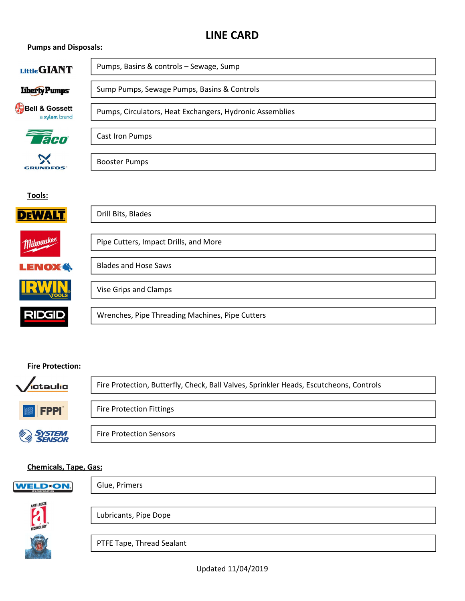#### Pumps and Disposals:

| Little GIANT                               | Pumps, Basins & controls - Sewage, Sump                  |
|--------------------------------------------|----------------------------------------------------------|
| Liberty Pumps                              | Sump Pumps, Sewage Pumps, Basins & Controls              |
| <b>Bell &amp; Gossett</b><br>a xylem brand | Pumps, Circulators, Heat Exchangers, Hydronic Assemblies |
| <b>Taco</b>                                | Cast Iron Pumps                                          |
| <b>GRUNDFOS</b>                            | <b>Booster Pumps</b>                                     |
| Tools:                                     |                                                          |
| <b>DEWAI</b>                               | Drill Bits, Blades                                       |
| <b>Milwaukee</b>                           | Pipe Cutters, Impact Drills, and More                    |
| <b>LENOX<sup>4</sup></b>                   | <b>Blades and Hose Saws</b>                              |
|                                            | Vise Grips and Clamps                                    |
| <b>RIDGID</b>                              | Wrenches, Pipe Threading Machines, Pipe Cutters          |

#### Fire Protection:



#### Chemicals, Tape, Gas:



Glue, Primers



Lubricants, Pipe Dope

PTFE Tape, Thread Sealant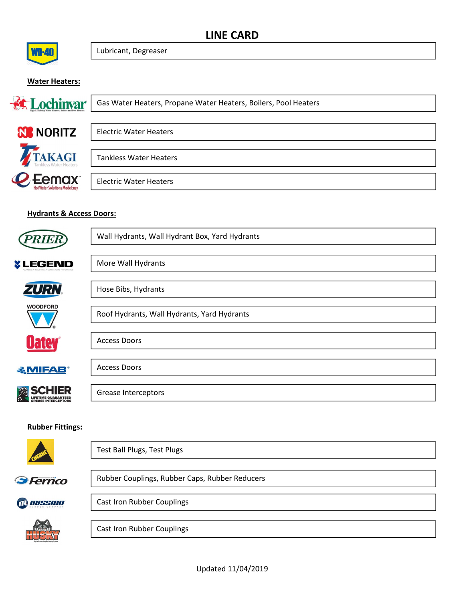

Lubricant, Degreaser

### Water Heaters:



#### Hydrants & Access Doors:

Æ



|         | Test Ball Plugs, Test Plugs                    |
|---------|------------------------------------------------|
| Ferrico | Rubber Couplings, Rubber Caps, Rubber Reducers |
| MISSION | <b>Cast Iron Rubber Couplings</b>              |
|         | <b>Cast Iron Rubber Couplings</b>              |